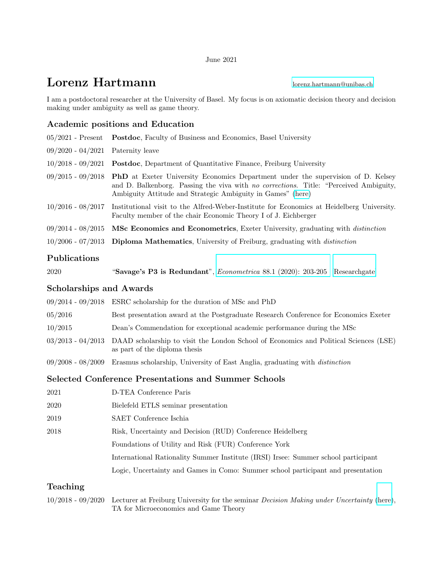#### June 2021

# **Lorenz Hartmann** [lorenz.hartmann@unibas.ch](mailto:lorenz.hartmann@unibas.ch)

I am a postdoctoral researcher at the University of Basel. My focus is on axiomatic decision theory and decision making under ambiguity as well as game theory.

### Academic positions and Education

|                                     | 05/2021 - Present Postdoc, Faculty of Business and Economics, Basel University                                                                                                                                                                                        |
|-------------------------------------|-----------------------------------------------------------------------------------------------------------------------------------------------------------------------------------------------------------------------------------------------------------------------|
| $09/2020 - 04/2021$ Paternity leave |                                                                                                                                                                                                                                                                       |
|                                     | $10/2018 - 09/2021$ Postdoc, Department of Quantitative Finance, Freiburg University                                                                                                                                                                                  |
|                                     | $09/2015$ - $09/2018$ <b>PhD</b> at Exeter University Economics Department under the supervision of D. Kelsey<br>and D. Balkenborg. Passing the viva with no corrections. Title: "Perceived Ambiguity,<br>Ambiguity Attitude and Strategic Ambiguity in Games" (here) |
| $10/2016$ - $08/2017$               | Institutional visit to the Alfred-Weber-Institute for Economics at Heidelberg University.<br>Faculty member of the chair Economic Theory I of J. Eichberger                                                                                                           |
|                                     | $09/2014$ - $08/2015$ MSc Economics and Econometrics, Exeter University, graduating with <i>distinction</i>                                                                                                                                                           |
|                                     | 10/2006 - 07/2013 Diploma Mathematics, University of Freiburg, graduating with <i>distinction</i>                                                                                                                                                                     |
|                                     |                                                                                                                                                                                                                                                                       |

#### Publications

| 2020 | "Savage's P3 is Redundant", Econometrica 88.1 (2020): 203-205 [Researchgate] |  |  |  |  |  |
|------|------------------------------------------------------------------------------|--|--|--|--|--|
|------|------------------------------------------------------------------------------|--|--|--|--|--|

#### Scholarships and Awards

|         | $09/2014$ - $09/2018$ ESRC scholarship for the duration of MSc and PhD                                                                   |
|---------|------------------------------------------------------------------------------------------------------------------------------------------|
| 05/2016 | Best presentation award at the Postgraduate Research Conference for Economics Exeter                                                     |
| 10/2015 | Dean's Commendation for exceptional academic performance during the MSc                                                                  |
|         | 03/2013 - 04/2013 DAAD scholarship to visit the London School of Economics and Political Sciences (LSE)<br>as part of the diploma thesis |
|         | 09/2008 - 08/2009 Erasmus scholarship, University of East Anglia, graduating with <i>distinction</i>                                     |

### Selected Conference Presentations and Summer Schools

| 2021 | D-TEA Conference Paris                                                             |
|------|------------------------------------------------------------------------------------|
| 2020 | Bielefeld ETLS seminar presentation                                                |
| 2019 | SAET Conference Ischia                                                             |
| 2018 | Risk, Uncertainty and Decision (RUD) Conference Heidelberg                         |
|      | Foundations of Utility and Risk (FUR) Conference York                              |
|      | International Rationality Summer Institute (IRSI) Irsee: Summer school participant |
|      | Logic, Uncertainty and Games in Como: Summer school participant and presentation   |

## Teaching

10/2018 - 09/2020 Lecturer at Freiburg University for the seminar Decision Making under Uncertainty [\(here\)](https://www.finance.uni-freiburg.de/studium-und-lehre/ws2019/sdmuuws1920), TA for Microeconomics and Game Theory